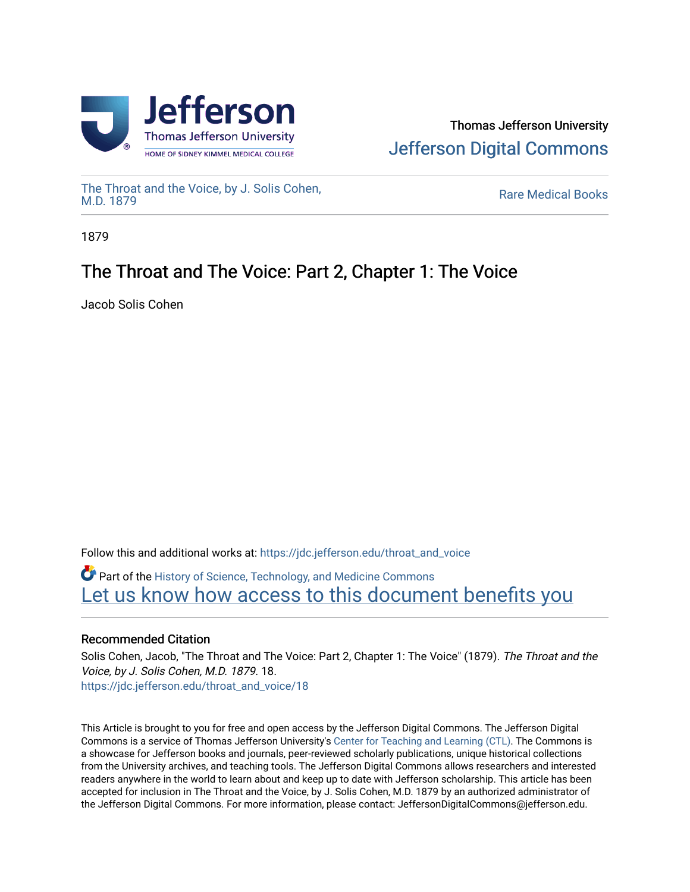

# Thomas Jefferson University [Jefferson Digital Commons](https://jdc.jefferson.edu/)

[The Throat and the Voice, by J. Solis Cohen,](https://jdc.jefferson.edu/throat_and_voice)

**Rare Medical Books** 

1879

# The Throat and The Voice: Part 2, Chapter 1: The Voice

Jacob Solis Cohen

Follow this and additional works at: [https://jdc.jefferson.edu/throat\\_and\\_voice](https://jdc.jefferson.edu/throat_and_voice?utm_source=jdc.jefferson.edu%2Fthroat_and_voice%2F18&utm_medium=PDF&utm_campaign=PDFCoverPages) **P** Part of the History of Science, Technology, and Medicine Commons

Let us know how access to this document benefits you

### Recommended Citation

Solis Cohen, Jacob, "The Throat and The Voice: Part 2, Chapter 1: The Voice" (1879). The Throat and the Voice, by J. Solis Cohen, M.D. 1879. 18. [https://jdc.jefferson.edu/throat\\_and\\_voice/18](https://jdc.jefferson.edu/throat_and_voice/18?utm_source=jdc.jefferson.edu%2Fthroat_and_voice%2F18&utm_medium=PDF&utm_campaign=PDFCoverPages) 

This Article is brought to you for free and open access by the Jefferson Digital Commons. The Jefferson Digital Commons is a service of Thomas Jefferson University's [Center for Teaching and Learning \(CTL\)](http://www.jefferson.edu/university/teaching-learning.html/). The Commons is a showcase for Jefferson books and journals, peer-reviewed scholarly publications, unique historical collections from the University archives, and teaching tools. The Jefferson Digital Commons allows researchers and interested readers anywhere in the world to learn about and keep up to date with Jefferson scholarship. This article has been accepted for inclusion in The Throat and the Voice, by J. Solis Cohen, M.D. 1879 by an authorized administrator of the Jefferson Digital Commons. For more information, please contact: JeffersonDigitalCommons@jefferson.edu.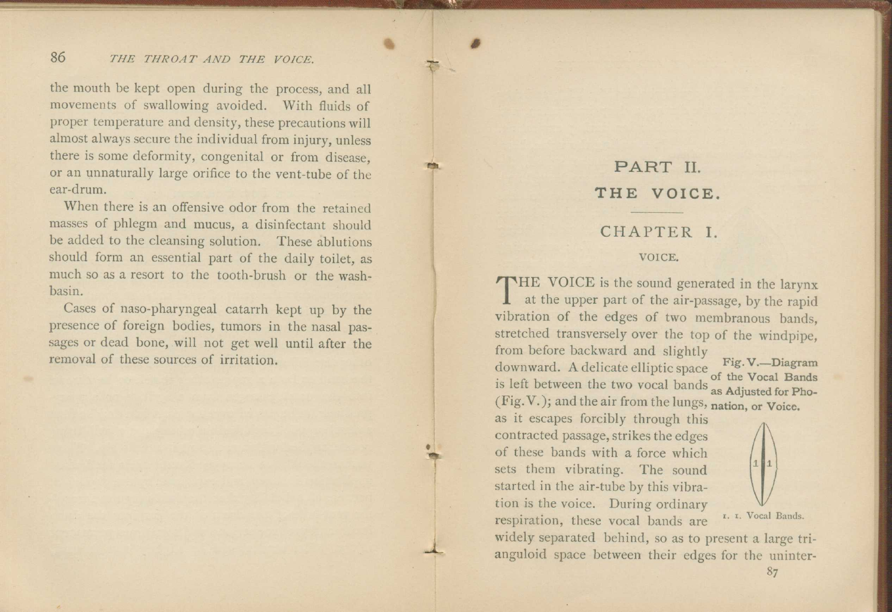#### 86 *THE THROAT AND THE VOICE.*

the mouth be kept open during the process, and all movements of swallowing avoided. With fluids of proper temperature and density, these precautions will almost always secure the individual from injury, unless there is some deformity, congenital or from disease, or an unnaturally large orifice to the vent-tube of the ear-drum.

•

•

When there is an offensive odor from the retained masses of phlegm and mucus, a disinfectant should be added to the cleansing solution. These ablutions should form an essential part of the daily toilet, as much so as a resort to the tooth-brush or the washbasin.

Cases of naso-pharyngeal catarrh kept up by the presence of foreign bodies, tumors in the nasal passages or dead bone, will not get well until after the removal of these sources of irritation.

## PART II. **THE VOICE.**

#### CHAPTER I.

#### VOICE.

THE VOICE is the sound generated in the larynx at the upper part of the air-passage, by the rapid at the upper part of the air-passage, by the rapid vibration of the edges of two membranous bands, stretched transversely over the top of the windpipe, from before backward and slightly downward. A delicate elliptic space **Fig. V.—Diagram**  $\frac{1}{2}$  of the Vocal Bands is left between the two vocal bands as Adjusted for Pho-(Fig. V. ); and the air from the lungs, **nation, or Voice.** 

as it escapes forcibly through this contracted passage, strikes the edges of these bands with a force which sets them vibrating. The sound started in the air-tube by this vibration is the voice. During ordinary respiration, these vocal bands are



i. r. Vocal Bands.

widely separated behind, so as to present a large trianguloid space between their edges for the uninter-